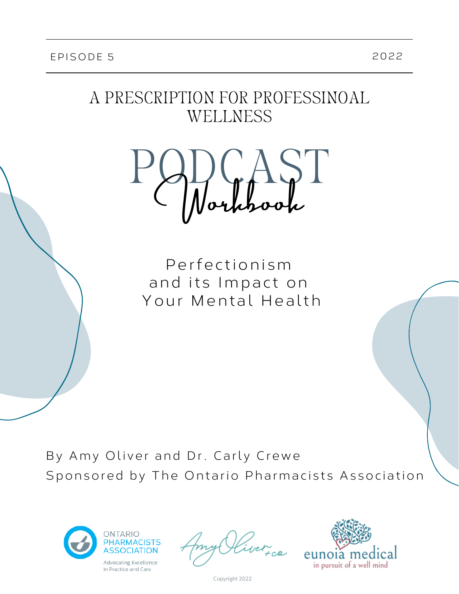# A PRESCRIPTION FOR PROFESSINOAL WELLNESS



Perfectionism and its Impact on Your Mental Health

By Amy Oliver and Dr. Carly Crewe Sponsored by The Ontario Pharmacists Association





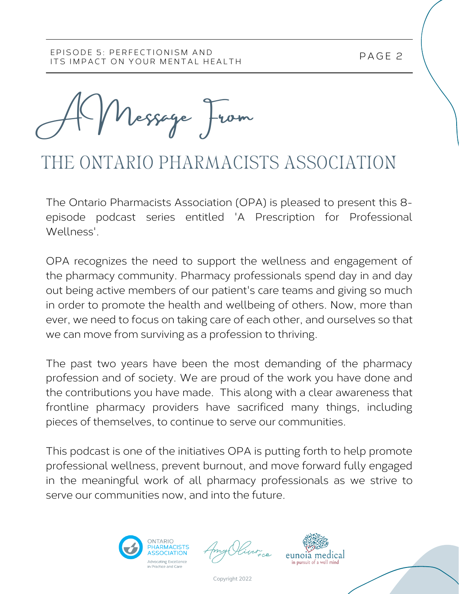A Message From

# THE ONTARIO PHARMACISTS ASSOCIATION

The Ontario Pharmacists Association (OPA) is pleased to present this 8 episode podcast series entitled 'A Prescription for Professional Wellness'.

OPA recognizes the need to support the wellness and engagement of the pharmacy community. Pharmacy professionals spend day in and day out being active members of our patient's care teams and giving so much in order to promote the health and wellbeing of others. Now, more than ever, we need to focus on taking care of each other, and ourselves so that we can move from surviving as a profession to thriving.

The past two years have been the most demanding of the pharmacy profession and of society. We are proud of the work you have done and the contributions you have made. This along with a clear awareness that frontline pharmacy providers have sacrificed many things, including pieces of themselves, to continue to serve our communities.

This podcast is one of the initiatives OPA is putting forth to help promote professional wellness, prevent burnout, and move forward fully engaged in the meaningful work of all pharmacy professionals as we strive to serve our communities now, and into the future.



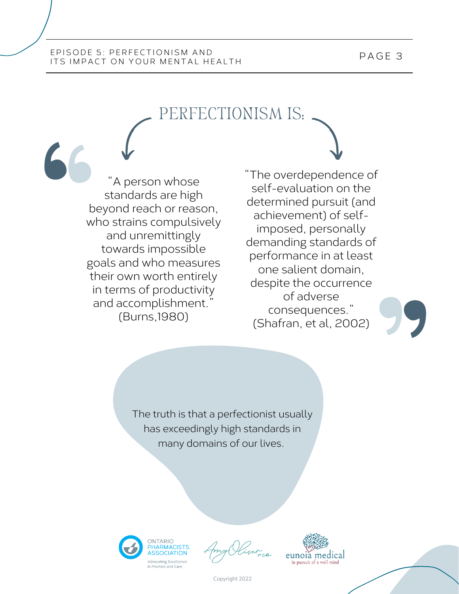# PERFECTIONISM IS:

"A person whose standards are high beyond reach or reason, who strains compulsively and unremittingly towards impossible goals and who measures their own worth entirely in terms of productivity and accomplishment." (Burns,1980)

"The overdependence of self-evaluation on the determined pursuit (and achievement) of selfimposed, personally demanding standards of performance in at least one salient domain, despite the occurrence of adverse consequences." (Shafran, et al, 2002)

The truth is that a perfectionist usually has exceedingly high standards in many domains of our lives.





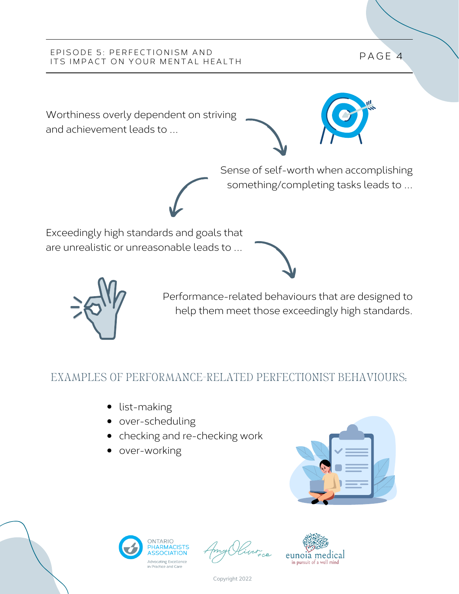Worthiness overly dependent on striving and achievement leads to ...



Sense of self-worth when accomplishing something/completing tasks leads to ...

Exceedingly high standards and goals that are unrealistic or unreasonable leads to ...





Performance-related behaviours that are designed to help them meet those exceedingly high standards.

# EXAMPLES OF PERFORMANCE-RELATED PERFECTIONIST BEHAVIOURS:

- list-making
- over-scheduling
- checking and re-checking work
- over-working





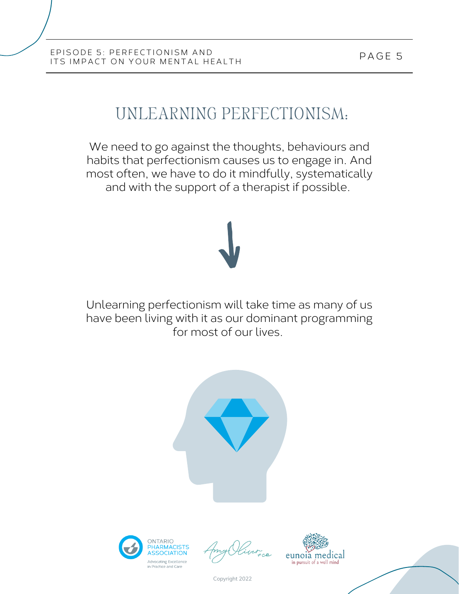# UNLEARNING PERFECTIONISM:

We need to go against the thoughts, behaviours and habits that perfectionism causes us to engage in. And most often, we have to do it mindfully, systematically and with the support of a therapist if possible.

Unlearning perfectionism will take time as many of us have been living with it as our dominant programming for most of our lives.







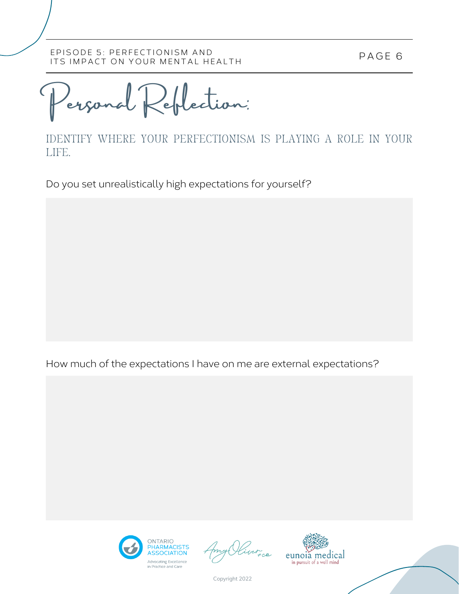P AGE 6

Personal Reflection:

IDENTIFY WHERE YOUR PERFECTIONISM IS PLAYING A ROLE IN YOUR LIFE.

Do you set unrealistically high expectations for yourself?

How much of the expectations I have on me are external expectations?



iver ce

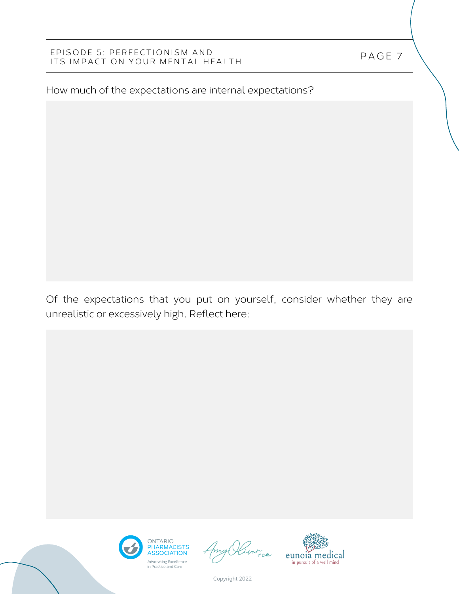How much of the expectations are internal expectations?

Of the expectations that you put on yourself, consider whether they are unrealistic or excessively high. Reflect here:





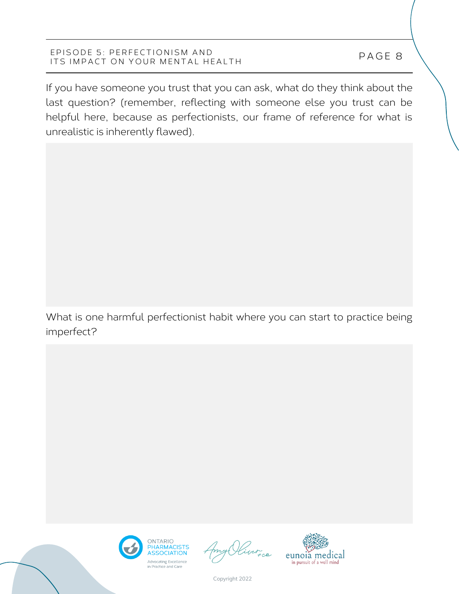If you have someone you trust that you can ask, what do they think about the last question? (remember, reflecting with someone else you trust can be helpful here, because as perfectionists, our frame of reference for what is unrealistic is inherently flawed).

What is one harmful perfectionist habit where you can start to practice being imperfect?



n<br>FCO

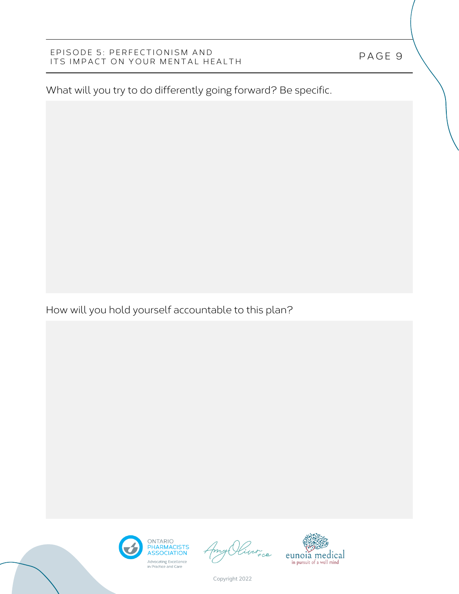What will you try to do differently going forward? Be specific.

How will you hold yourself accountable to this plan?





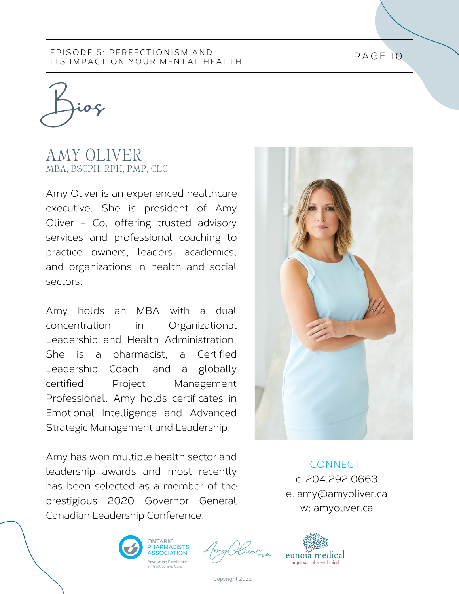Bios

# AMY OLIVER MBA, BSCPH, RPH, PMP, CLC

Amy Oliver is an experienced healthcare executive. She is president of Amy Oliver + Co, offering trusted advisory services and professional coaching to practice owners, leaders, academics, and organizations in health and social sectors.

Amy holds an MBA with a dual concentration in Organizational Leadership and Health Administration. She is a pharmacist, a Certified Leadership Coach, and a globally certified Project Management Professional. Amy holds certificates in Emotional Intelligence and Advanced Strategic Management and Leadership.

Amy has won multiple health sector and leadership awards and most recently has been selected as a member of the prestigious 2020 Governor General Canadian Leadership Conference.



CONNECT: c: 204.292.0663 e: amy@amyoliver.ca w: amyoliver.ca